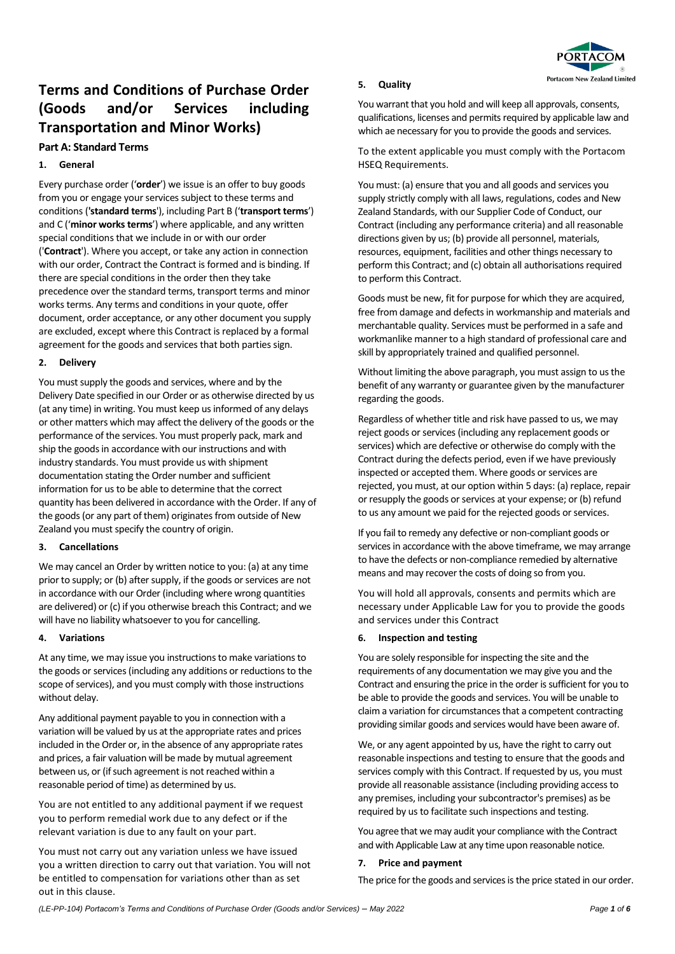

# **Terms and Conditions of Purchase Order (Goods and/or Services including Transportation and Minor Works)**

# **Part A: Standard Terms**

## **1. General**

Every purchase order ('**order**') we issue is an offer to buy goods from you or engage your services subject to these terms and conditions (**'standard terms**'), including Part B ('**transport terms**') and C ('**minor works terms**') where applicable, and any written special conditions that we include in or with our order ('**Contract**'). Where you accept, or take any action in connection with our order, Contract the Contract is formed and is binding. If there are special conditions in the order then they take precedence over the standard terms, transport terms and minor works terms. Any terms and conditions in your quote, offer document, order acceptance, or any other document you supply are excluded, except where this Contract is replaced by a formal agreement for the goods and services that both parties sign.

## **2. Delivery**

You must supply the goods and services, where and by the Delivery Date specified in our Order or as otherwise directed by us (at any time) in writing. You must keep us informed of any delays or other matters which may affect the delivery of the goods or the performance of the services. You must properly pack, mark and ship the goods in accordance with our instructions and with industry standards. You must provide us with shipment documentation stating the Order number and sufficient information for us to be able to determine that the correct quantity has been delivered in accordance with the Order. If any of the goods (or any part of them) originates from outside of New Zealand you must specify the country of origin.

### **3. Cancellations**

We may cancel an Order by written notice to you: (a) at any time prior to supply; or (b) after supply, if the goods or services are not in accordance with our Order (including where wrong quantities are delivered) or (c) if you otherwise breach this Contract; and we will have no liability whatsoever to you for cancelling.

### **4. Variations**

At any time, we may issue you instructions to make variations to the goods or services (including any additions or reductions to the scope of services), and you must comply with those instructions without delay.

Any additional payment payable to you in connection with a variation will be valued by us at the appropriate rates and prices included in the Order or, in the absence of any appropriate rates and prices, a fair valuation will be made by mutual agreement between us, or (if such agreement is not reached within a reasonable period of time) as determined by us.

You are not entitled to any additional payment if we request you to perform remedial work due to any defect or if the relevant variation is due to any fault on your part.

You must not carry out any variation unless we have issued you a written direction to carry out that variation. You will not be entitled to compensation for variations other than as set out in this clause.

#### **5. Quality**

You warrant that you hold and will keep all approvals, consents, qualifications, licenses and permits required by applicable law and which ae necessary for you to provide the goods and services.

To the extent applicable you must comply with the Portacom HSEQ Requirements.

You must: (a) ensure that you and all goods and services you supply strictly comply with all laws, regulations, codes and New Zealand Standards, with our Supplier Code of Conduct, our Contract (including any performance criteria) and all reasonable directions given by us; (b) provide all personnel, materials, resources, equipment, facilities and other things necessary to perform this Contract; and (c) obtain all authorisations required to perform this Contract.

Goods must be new, fit for purpose for which they are acquired, free from damage and defects in workmanship and materials and merchantable quality. Services must be performed in a safe and workmanlike manner to a high standard of professional care and skill by appropriately trained and qualified personnel.

Without limiting the above paragraph, you must assign to us the benefit of any warranty or guarantee given by the manufacturer regarding the goods.

Regardless of whether title and risk have passed to us, we may reject goods or services (including any replacement goods or services) which are defective or otherwise do comply with the Contract during the defects period, even if we have previously inspected or accepted them. Where goods or services are rejected, you must, at our option within 5 days: (a) replace, repair or resupply the goods or services at your expense; or (b) refund to us any amount we paid for the rejected goods or services.

If you fail to remedy any defective or non-compliant goods or services in accordance with the above timeframe, we may arrange to have the defects or non-compliance remedied by alternative means and may recover the costs of doing so from you.

You will hold all approvals, consents and permits which are necessary under Applicable Law for you to provide the goods and services under this Contract

### **6. Inspection and testing**

You are solely responsible for inspecting the site and the requirements of any documentation we may give you and the Contract and ensuring the price in the order is sufficient for you to be able to provide the goods and services. You will be unable to claim a variation for circumstances that a competent contracting providing similar goods and services would have been aware of.

We, or any agent appointed by us, have the right to carry out reasonable inspections and testing to ensure that the goods and services comply with this Contract. If requested by us, you must provide all reasonable assistance (including providing access to any premises, including your subcontractor's premises) as be required by us to facilitate such inspections and testing.

You agree that we may audit your compliance with the Contract and with Applicable Law at any time upon reasonable notice.

### **7. Price and payment**

The price for the goods and services is the price stated in our order.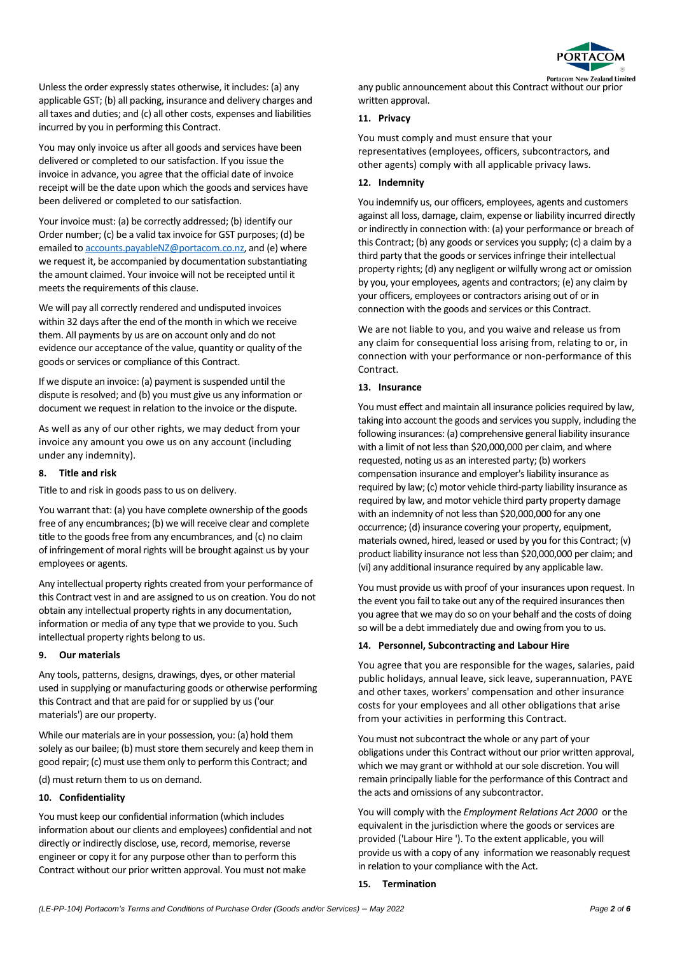

Unless the order expressly states otherwise, it includes: (a) any applicable GST; (b) all packing, insurance and delivery charges and all taxes and duties; and (c) all other costs, expenses and liabilities incurred by you in performing this Contract.

You may only invoice us after all goods and services have been delivered or completed to our satisfaction. If you issue the invoice in advance, you agree that the official date of invoice receipt will be the date upon which the goods and services have been delivered or completed to our satisfaction.

Your invoice must: (a) be correctly addressed; (b) identify our Order number; (c) be a valid tax invoice for GST purposes; (d) be emailed t[o accounts.payableNZ@portacom.co.nz,](mailto:accounts.payableNZ@portacom.co.nz) and (e) where we request it, be accompanied by documentation substantiating the amount claimed. Your invoice will not be receipted until it meets the requirements of this clause.

We will pay all correctly rendered and undisputed invoices within 32 days after the end of the month in which we receive them. All payments by us are on account only and do not evidence our acceptance of the value, quantity or quality of the goods or services or compliance of this Contract.

If we dispute an invoice: (a) payment is suspended until the dispute is resolved; and (b) you must give us any information or document we request in relation to the invoice or the dispute.

As well as any of our other rights, we may deduct from your invoice any amount you owe us on any account (including under any indemnity).

## **8. Title and risk**

Title to and risk in goods pass to us on delivery.

You warrant that: (a) you have complete ownership of the goods free of any encumbrances; (b) we will receive clear and complete title to the goods free from any encumbrances, and (c) no claim of infringement of moral rights will be brought against us by your employees or agents.

Any intellectual property rights created from your performance of this Contract vest in and are assigned to us on creation. You do not obtain any intellectual property rights in any documentation, information or media of any type that we provide to you. Such intellectual property rights belong to us.

## **9. Our materials**

Any tools, patterns, designs, drawings, dyes, or other material used in supplying or manufacturing goods or otherwise performing this Contract and that are paid for or supplied by us ('our materials') are our property.

While our materials are in your possession, you: (a) hold them solely as our bailee; (b) must store them securely and keep them in good repair; (c) must use them only to perform this Contract; and

(d) must return them to us on demand.

# **10. Confidentiality**

You must keep our confidential information (which includes information about our clients and employees) confidential and not directly or indirectly disclose, use, record, memorise, reverse engineer or copy it for any purpose other than to perform this Contract without our prior written approval. You must not make

## **11. Privacy**

You must comply and must ensure that your representatives (employees, officers, subcontractors, and other agents) comply with all applicable privacy laws.

# **12. Indemnity**

You indemnify us, our officers, employees, agents and customers against all loss, damage, claim, expense or liability incurred directly or indirectly in connection with: (a) your performance or breach of this Contract; (b) any goods or services you supply; (c) a claim by a third party that the goods or services infringe their intellectual property rights; (d) any negligent or wilfully wrong act or omission by you, your employees, agents and contractors; (e) any claim by your officers, employees or contractors arising out of or in connection with the goods and services or this Contract.

We are not liable to you, and you waive and release us from any claim for consequential loss arising from, relating to or, in connection with your performance or non-performance of this Contract.

## **13. Insurance**

You must effect and maintain all insurance policies required by law, taking into account the goods and services you supply, including the following insurances: (a) comprehensive general liability insurance with a limit of not less than \$20,000,000 per claim, and where requested, noting us as an interested party; (b) workers compensation insurance and employer's liability insurance as required by law; (c) motor vehicle third-party liability insurance as required by law, and motor vehicle third party property damage with an indemnity of not less than \$20,000,000 for any one occurrence; (d) insurance covering your property, equipment, materials owned, hired, leased or used by you for this Contract; (v) product liability insurance not less than \$20,000,000 per claim; and (vi) any additional insurance required by any applicable law.

You must provide us with proof of your insurances upon request. In the event you fail to take out any of the required insurances then you agree that we may do so on your behalf and the costs of doing so will be a debt immediately due and owing from you to us.

# **14. Personnel, Subcontracting and Labour Hire**

You agree that you are responsible for the wages, salaries, paid public holidays, annual leave, sick leave, superannuation, PAYE and other taxes, workers' compensation and other insurance costs for your employees and all other obligations that arise from your activities in performing this Contract.

You must not subcontract the whole or any part of your obligations under this Contract without our prior written approval, which we may grant or withhold at our sole discretion. You will remain principally liable for the performance of this Contract and the acts and omissions of any subcontractor.

You will comply with the *Employment Relations Act 2000* or the equivalent in the jurisdiction where the goods or services are provided ('Labour Hire '). To the extent applicable, you will provide us with a copy of any information we reasonably request in relation to your compliance with the Act.

### **15. Termination**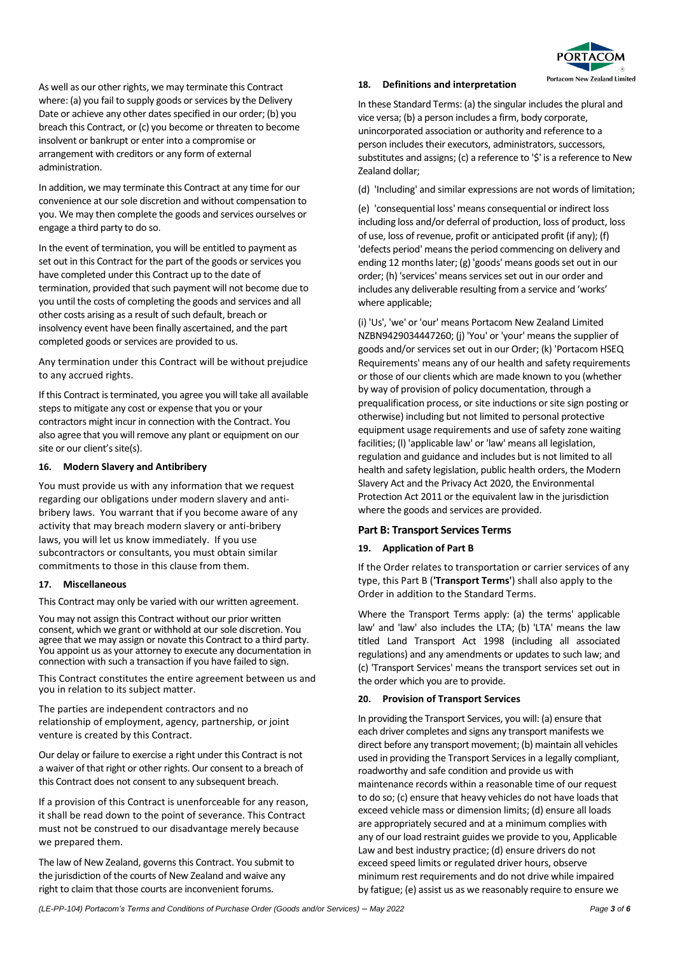

As well as our other rights, we may terminate this Contract where: (a) you fail to supply goods or services by the Delivery Date or achieve any other dates specified in our order; (b) you breach this Contract, or (c) you become or threaten to become insolvent or bankrupt or enter into a compromise or arrangement with creditors or any form of external administration.

In addition, we may terminate this Contract at any time for our convenience at our sole discretion and without compensation to you. We may then complete the goods and services ourselves or engage a third party to do so.

In the event of termination, you will be entitled to payment as set out in this Contract for the part of the goods or services you have completed under this Contract up to the date of termination, provided that such payment will not become due to you until the costs of completing the goods and services and all other costs arising as a result of such default, breach or insolvency event have been finally ascertained, and the part completed goods or services are provided to us.

Any termination under this Contract will be without prejudice to any accrued rights.

If this Contract is terminated, you agree you will take all available steps to mitigate any cost or expense that you or your contractors might incur in connection with the Contract. You also agree that you will remove any plant or equipment on our site or our client's site(s).

#### **16. Modern Slavery and Antibribery**

You must provide us with any information that we request regarding our obligations under modern slavery and antibribery laws. You warrant that if you become aware of any activity that may breach modern slavery or anti-bribery laws, you will let us know immediately. If you use subcontractors or consultants, you must obtain similar commitments to those in this clause from them.

### **17. Miscellaneous**

This Contract may only be varied with our written agreement.

You may not assign this Contract without our prior written consent, which we grant or withhold at our sole discretion. You agree that we may assign or novate this Contract to a third party. You appoint us as your attorney to execute any documentation in connection with such a transaction if you have failed to sign.

This Contract constitutes the entire agreement between us and you in relation to its subject matter.

The parties are independent contractors and no relationship of employment, agency, partnership, or joint venture is created by this Contract.

Our delay or failure to exercise a right under this Contract is not a waiver of that right or other rights. Our consent to a breach of this Contract does not consent to any subsequent breach.

If a provision of this Contract is unenforceable for any reason, it shall be read down to the point of severance. This Contract must not be construed to our disadvantage merely because we prepared them.

The law of New Zealand, governs this Contract. You submit to the jurisdiction of the courts of New Zealand and waive any right to claim that those courts are inconvenient forums.

#### **18. Definitions and interpretation**

In these Standard Terms: (a) the singular includes the plural and vice versa; (b) a person includes a firm, body corporate, unincorporated association or authority and reference to a person includes their executors, administrators, successors, substitutes and assigns; (c) a reference to '\$' is a reference to New Zealand dollar;

(d) 'Including' and similar expressions are not words of limitation;

(e) 'consequential loss' means consequential or indirect loss including loss and/or deferral of production, loss of product, loss of use, loss of revenue, profit or anticipated profit (if any); (f) 'defects period' means the period commencing on delivery and ending 12 months later; (g) 'goods' means goods set out in our order; (h) 'services' means services set out in our order and includes any deliverable resulting from a service and 'works' where applicable;

(i) 'Us', 'we' or 'our' means Portacom New Zealand Limited NZBN9429034447260; (j) 'You' or 'your' means the supplier of goods and/or services set out in our Order; (k) 'Portacom HSEQ Requirements' means any of our health and safety requirements or those of our clients which are made known to you (whether by way of provision of policy documentation, through a prequalification process, or site inductions or site sign posting or otherwise) including but not limited to personal protective equipment usage requirements and use of safety zone waiting facilities; (l) 'applicable law' or 'law' means all legislation, regulation and guidance and includes but is not limited to all health and safety legislation, public health orders, the Modern Slavery Act and the Privacy Act 2020, the Environmental Protection Act 2011 or the equivalent law in the jurisdiction where the goods and services are provided.

### **Part B: Transport Services Terms**

### **19. Application of Part B**

If the Order relates to transportation or carrier services of any type, this Part B (**'Transport Terms'**) shall also apply to the Order in addition to the Standard Terms.

Where the Transport Terms apply: (a) the terms' applicable law' and 'law' also includes the LTA; (b) 'LTA' means the law titled Land Transport Act 1998 (including all associated regulations) and any amendments or updates to such law; and (c) 'Transport Services' means the transport services set out in the order which you are to provide.

## **20. Provision of Transport Services**

In providing the Transport Services, you will: (a) ensure that each driver completes and signs any transport manifests we direct before any transport movement; (b) maintain all vehicles used in providing the Transport Services in a legally compliant, roadworthy and safe condition and provide us with maintenance records within a reasonable time of our request to do so; (c) ensure that heavy vehicles do not have loads that exceed vehicle mass or dimension limits; (d) ensure all loads are appropriately secured and at a minimum complies with any of our load restraint guides we provide to you, Applicable Law and best industry practice; (d) ensure drivers do not exceed speed limits or regulated driver hours, observe minimum rest requirements and do not drive while impaired by fatigue; (e) assist us as we reasonably require to ensure we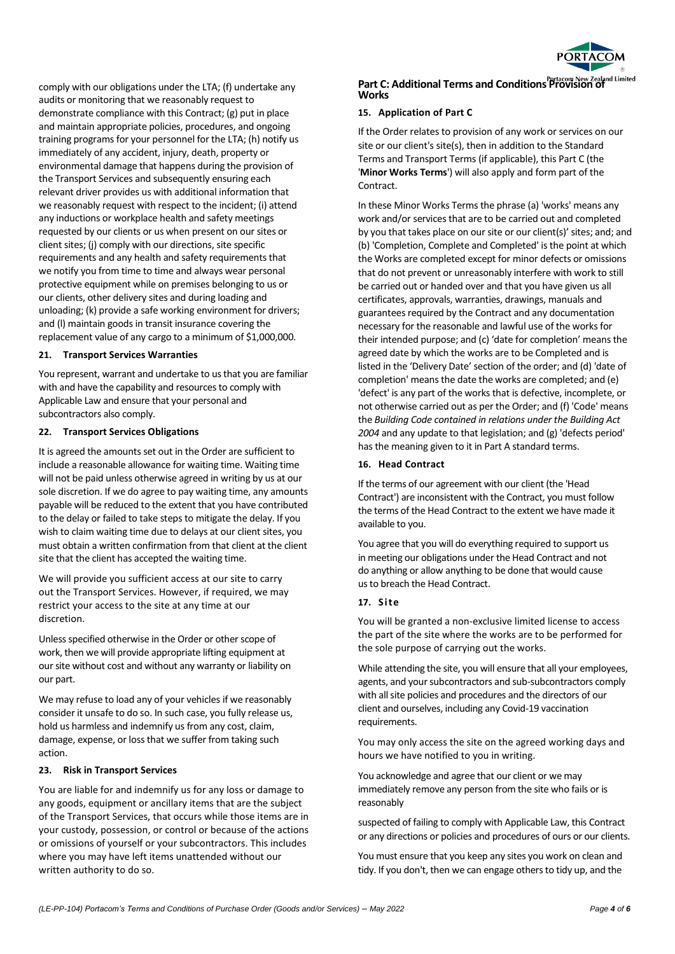

comply with our obligations under the LTA; (f) undertake any audits or monitoring that we reasonably request to demonstrate compliance with this Contract; (g) put in place and maintain appropriate policies, procedures, and ongoing training programs for your personnel for the LTA; (h) notify us immediately of any accident, injury, death, property or environmental damage that happens during the provision of the Transport Services and subsequently ensuring each relevant driver provides us with additional information that we reasonably request with respect to the incident; (i) attend any inductions or workplace health and safety meetings requested by our clients or us when present on our sites or client sites; (j) comply with our directions, site specific requirements and any health and safety requirements that we notify you from time to time and always wear personal protective equipment while on premises belonging to us or our clients, other delivery sites and during loading and unloading; (k) provide a safe working environment for drivers; and (l) maintain goods in transit insurance covering the replacement value of any cargo to a minimum of \$1,000,000.

#### **21. Transport Services Warranties**

You represent, warrant and undertake to us that you are familiar with and have the capability and resources to comply with Applicable Law and ensure that your personal and subcontractors also comply.

#### **22. Transport Services Obligations**

It is agreed the amounts set out in the Order are sufficient to include a reasonable allowance for waiting time. Waiting time will not be paid unless otherwise agreed in writing by us at our sole discretion. If we do agree to pay waiting time, any amounts payable will be reduced to the extent that you have contributed to the delay or failed to take steps to mitigate the delay. If you wish to claim waiting time due to delays at our client sites, you must obtain a written confirmation from that client at the client site that the client has accepted the waiting time.

We will provide you sufficient access at our site to carry out the Transport Services. However, if required, we may restrict your access to the site at any time at our discretion.

Unless specified otherwise in the Order or other scope of work, then we will provide appropriate lifting equipment at our site without cost and without any warranty or liability on our part.

We may refuse to load any of your vehicles if we reasonably consider it unsafe to do so. In such case, you fully release us, hold us harmless and indemnify us from any cost, claim, damage, expense, or loss that we suffer from taking such action.

### **23. Risk in Transport Services**

You are liable for and indemnify us for any loss or damage to any goods, equipment or ancillary items that are the subject of the Transport Services, that occurs while those items are in your custody, possession, or control or because of the actions or omissions of yourself or your subcontractors. This includes where you may have left items unattended without our written authority to do so.

# **Part C: Additional Terms and Conditions Provision of Works**

### **15. Application of Part C**

If the Order relates to provision of any work or services on our site or our client's site(s), then in addition to the Standard Terms and Transport Terms (if applicable), this Part C (the '**Minor Works Terms**') will also apply and form part of the Contract.

In these Minor Works Terms the phrase (a) 'works' means any work and/or services that are to be carried out and completed by you that takes place on our site or our client(s)' sites; and; and (b) 'Completion, Complete and Completed' is the point at which the Works are completed except for minor defects or omissions that do not prevent or unreasonably interfere with work to still be carried out or handed over and that you have given us all certificates, approvals, warranties, drawings, manuals and guarantees required by the Contract and any documentation necessary for the reasonable and lawful use of the works for their intended purpose; and (c) 'date for completion' means the agreed date by which the works are to be Completed and is listed in the 'Delivery Date' section of the order; and (d) 'date of completion' means the date the works are completed; and (e) 'defect' is any part of the works that is defective, incomplete, or not otherwise carried out as per the Order; and (f) 'Code' means the *Building Code contained in relations under the Building Act 2004* and any update to that legislation; and (g) 'defects period' has the meaning given to it in Part A standard terms.

### **16. Head Contract**

If the terms of our agreement with our client (the 'Head Contract') are inconsistent with the Contract, you must follow the terms of the Head Contract to the extent we have made it available to you.

You agree that you will do everything required to support us in meeting our obligations under the Head Contract and not do anything or allow anything to be done that would cause us to breach the Head Contract.

#### **17. Site**

You will be granted a non-exclusive limited license to access the part of the site where the works are to be performed for the sole purpose of carrying out the works.

While attending the site, you will ensure that all your employees, agents, and your subcontractors and sub-subcontractors comply with all site policies and procedures and the directors of our client and ourselves, including any Covid-19 vaccination requirements.

You may only access the site on the agreed working days and hours we have notified to you in writing.

You acknowledge and agree that our client or we may immediately remove any person from the site who fails or is reasonably

suspected of failing to comply with Applicable Law, this Contract or any directions or policies and procedures of ours or our clients.

You must ensure that you keep any sites you work on clean and tidy. If you don't, then we can engage others to tidy up, and the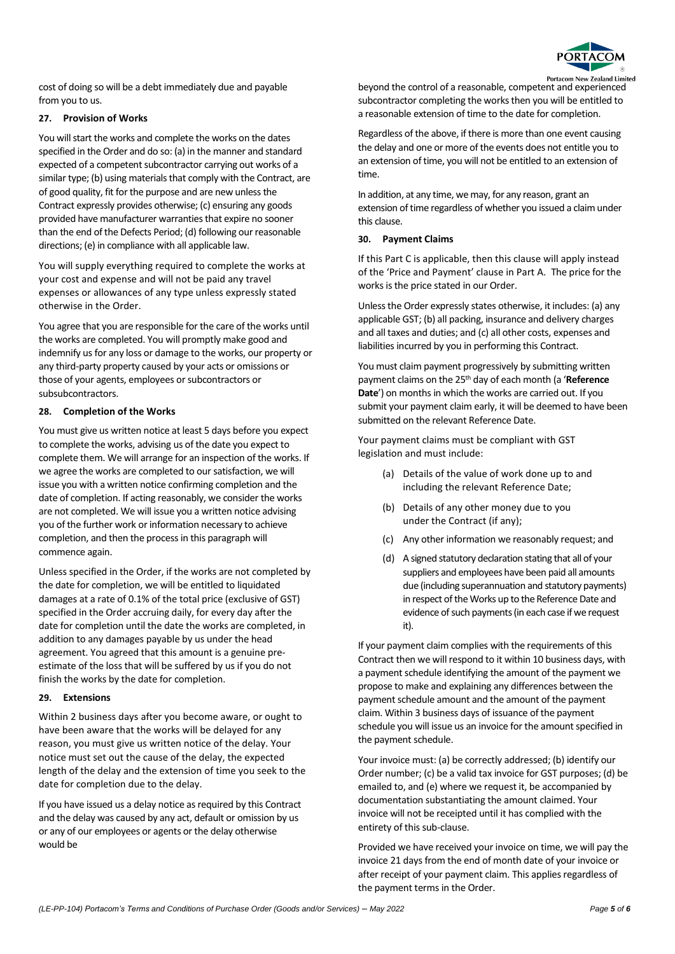

cost of doing so will be a debt immediately due and payable from you to us.

# **27. Provision of Works**

You will start the works and complete the works on the dates specified in the Order and do so: (a) in the manner and standard expected of a competent subcontractor carrying out works of a similar type; (b) using materials that comply with the Contract, are of good quality, fit for the purpose and are new unless the Contract expressly provides otherwise; (c) ensuring any goods provided have manufacturer warranties that expire no sooner than the end of the Defects Period; (d) following our reasonable directions; (e) in compliance with all applicable law.

You will supply everything required to complete the works at your cost and expense and will not be paid any travel expenses or allowances of any type unless expressly stated otherwise in the Order.

You agree that you are responsible for the care of the works until the works are completed. You will promptly make good and indemnify us for any loss or damage to the works, our property or any third-party property caused by your acts or omissions or those of your agents, employees or subcontractors or subsubcontractors.

## **28. Completion of the Works**

You must give us written notice at least 5 days before you expect to complete the works, advising us of the date you expect to complete them. We will arrange for an inspection of the works. If we agree the works are completed to our satisfaction, we will issue you with a written notice confirming completion and the date of completion. If acting reasonably, we consider the works are not completed. We will issue you a written notice advising you of the further work or information necessary to achieve completion, and then the process in this paragraph will commence again.

Unless specified in the Order, if the works are not completed by the date for completion, we will be entitled to liquidated damages at a rate of 0.1% of the total price (exclusive of GST) specified in the Order accruing daily, for every day after the date for completion until the date the works are completed, in addition to any damages payable by us under the head agreement. You agreed that this amount is a genuine preestimate of the loss that will be suffered by us if you do not finish the works by the date for completion.

## **29. Extensions**

Within 2 business days after you become aware, or ought to have been aware that the works will be delayed for any reason, you must give us written notice of the delay. Your notice must set out the cause of the delay, the expected length of the delay and the extension of time you seek to the date for completion due to the delay.

If you have issued us a delay notice as required by this Contract and the delay was caused by any act, default or omission by us or any of our employees or agents or the delay otherwise would be

beyond the control of a reasonable, competent and experienced subcontractor completing the works then you will be entitled to a reasonable extension of time to the date for completion.

Regardless of the above, if there is more than one event causing the delay and one or more of the events does not entitle you to an extension of time, you will not be entitled to an extension of time.

In addition, at any time, we may, for any reason, grant an extension of time regardless of whether you issued a claim under this clause.

## **30. Payment Claims**

If this Part C is applicable, then this clause will apply instead of the 'Price and Payment' clause in Part A. The price for the works is the price stated in our Order.

Unless the Order expressly states otherwise, it includes: (a) any applicable GST; (b) all packing, insurance and delivery charges and all taxes and duties; and (c) all other costs, expenses and liabilities incurred by you in performing this Contract.

You must claim payment progressively by submitting written payment claims on the 25th day of each month (a '**Reference Date**') on months in which the works are carried out. If you submit your payment claim early, it will be deemed to have been submitted on the relevant Reference Date.

Your payment claims must be compliant with GST legislation and must include:

- (a) Details of the value of work done up to and including the relevant Reference Date;
- (b) Details of any other money due to you under the Contract (if any);
- (c) Any other information we reasonably request; and
- (d) A signed statutory declaration stating that all of your suppliers and employees have been paid all amounts due (including superannuation and statutory payments) in respect of the Works up to the Reference Date and evidence of such payments (in each case if we request it).

If your payment claim complies with the requirements of this Contract then we will respond to it within 10 business days, with a payment schedule identifying the amount of the payment we propose to make and explaining any differences between the payment schedule amount and the amount of the payment claim. Within 3 business days of issuance of the payment schedule you will issue us an invoice for the amount specified in the payment schedule.

Your invoice must: (a) be correctly addressed; (b) identify our Order number; (c) be a valid tax invoice for GST purposes; (d) be emailed to, and (e) where we request it, be accompanied by documentation substantiating the amount claimed. Your invoice will not be receipted until it has complied with the entirety of this sub-clause.

Provided we have received your invoice on time, we will pay the invoice 21 days from the end of month date of your invoice or after receipt of your payment claim. This applies regardless of the payment terms in the Order.